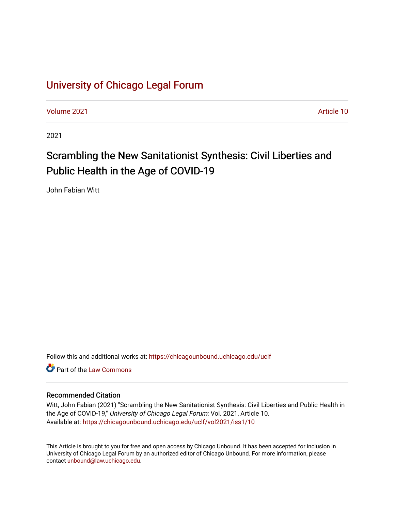# [University of Chicago Legal Forum](https://chicagounbound.uchicago.edu/uclf)

[Volume 2021](https://chicagounbound.uchicago.edu/uclf/vol2021) [Article 10](https://chicagounbound.uchicago.edu/uclf/vol2021/iss1/10) 

2021

# Scrambling the New Sanitationist Synthesis: Civil Liberties and Public Health in the Age of COVID-19

John Fabian Witt

Follow this and additional works at: [https://chicagounbound.uchicago.edu/uclf](https://chicagounbound.uchicago.edu/uclf?utm_source=chicagounbound.uchicago.edu%2Fuclf%2Fvol2021%2Fiss1%2F10&utm_medium=PDF&utm_campaign=PDFCoverPages) 

**C** Part of the [Law Commons](https://network.bepress.com/hgg/discipline/578?utm_source=chicagounbound.uchicago.edu%2Fuclf%2Fvol2021%2Fiss1%2F10&utm_medium=PDF&utm_campaign=PDFCoverPages)

## Recommended Citation

Witt, John Fabian (2021) "Scrambling the New Sanitationist Synthesis: Civil Liberties and Public Health in the Age of COVID-19," University of Chicago Legal Forum: Vol. 2021, Article 10. Available at: [https://chicagounbound.uchicago.edu/uclf/vol2021/iss1/10](https://chicagounbound.uchicago.edu/uclf/vol2021/iss1/10?utm_source=chicagounbound.uchicago.edu%2Fuclf%2Fvol2021%2Fiss1%2F10&utm_medium=PDF&utm_campaign=PDFCoverPages)

This Article is brought to you for free and open access by Chicago Unbound. It has been accepted for inclusion in University of Chicago Legal Forum by an authorized editor of Chicago Unbound. For more information, please contact [unbound@law.uchicago.edu](mailto:unbound@law.uchicago.edu).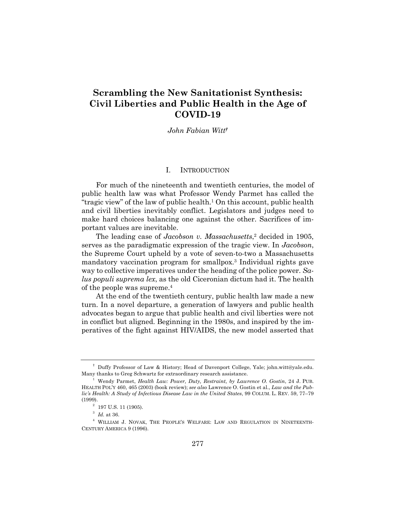# **Scrambling the New Sanitationist Synthesis: Civil Liberties and Public Health in the Age of COVID-19**

#### *John Fabian Witt†*

## I. INTRODUCTION

For much of the nineteenth and twentieth centuries, the model of public health law was what Professor Wendy Parmet has called the "tragic view" of the law of public health. $1$  On this account, public health and civil liberties inevitably conflict. Legislators and judges need to make hard choices balancing one against the other. Sacrifices of important values are inevitable.

The leading case of *Jacobson v. Massachusetts*, <sup>2</sup> decided in 1905, serves as the paradigmatic expression of the tragic view. In *Jacobson*, the Supreme Court upheld by a vote of seven-to-two a Massachusetts mandatory vaccination program for smallpox.3 Individual rights gave way to collective imperatives under the heading of the police power. *Salus populi suprema lex*, as the old Ciceronian dictum had it. The health of the people was supreme.4

At the end of the twentieth century, public health law made a new turn. In a novel departure, a generation of lawyers and public health advocates began to argue that public health and civil liberties were not in conflict but aligned. Beginning in the 1980s, and inspired by the imperatives of the fight against HIV/AIDS, the new model asserted that

<sup>†</sup> Duffy Professor of Law & History; Head of Davenport College, Yale; john.witt@yale.edu. Many thanks to Greg Schwartz for extraordinary research assistance.

<sup>1</sup> Wendy Parmet, *Health Law: Power, Duty, Restraint, by Lawrence O. Gostin*, 24 J. PUB. HEALTH POL'Y 460, 465 (2003) (book review); *see also* Lawrence O. Gostin et al., *Law and the Public's Health: A Study of Infectious Disease Law in the United States*, 99 COLUM. L. REV. 59, 77–79 (1999).

 $2$  197 U.S. 11 (1905).

 $^3$   $\,$   $\!ld$  . at 36.

<sup>4</sup> WILLIAM J. NOVAK, THE PEOPLE'S WELFARE: LAW AND REGULATION IN NINETEENTH-CENTURY AMERICA 9 (1996).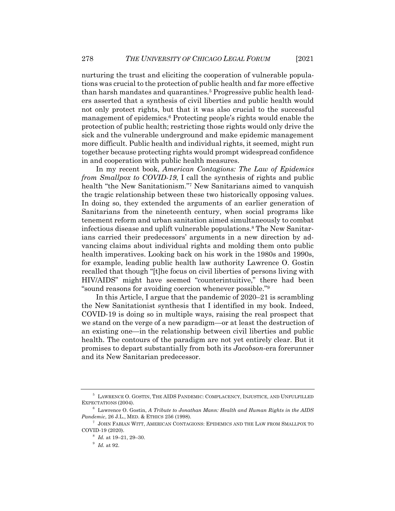nurturing the trust and eliciting the cooperation of vulnerable populations was crucial to the protection of public health and far more effective than harsh mandates and quarantines.<sup>5</sup> Progressive public health leaders asserted that a synthesis of civil liberties and public health would not only protect rights, but that it was also crucial to the successful management of epidemics.6 Protecting people's rights would enable the protection of public health; restricting those rights would only drive the sick and the vulnerable underground and make epidemic management more difficult. Public health and individual rights, it seemed, might run together because protecting rights would prompt widespread confidence in and cooperation with public health measures.

In my recent book, *American Contagions: The Law of Epidemics from Smallpox to COVID-19*, I call the synthesis of rights and public health "the New Sanitationism."7 New Sanitarians aimed to vanquish the tragic relationship between these two historically opposing values. In doing so, they extended the arguments of an earlier generation of Sanitarians from the nineteenth century, when social programs like tenement reform and urban sanitation aimed simultaneously to combat infectious disease and uplift vulnerable populations.8 The New Sanitarians carried their predecessors' arguments in a new direction by advancing claims about individual rights and molding them onto public health imperatives. Looking back on his work in the 1980s and 1990s, for example, leading public health law authority Lawrence O. Gostin recalled that though "[t]he focus on civil liberties of persons living with HIV/AIDS" might have seemed "counterintuitive," there had been "sound reasons for avoiding coercion whenever possible."9

In this Article, I argue that the pandemic of 2020–21 is scrambling the New Sanitationist synthesis that I identified in my book. Indeed, COVID-19 is doing so in multiple ways, raising the real prospect that we stand on the verge of a new paradigm—or at least the destruction of an existing one—in the relationship between civil liberties and public health. The contours of the paradigm are not yet entirely clear. But it promises to depart substantially from both its *Jacobson*-era forerunner and its New Sanitarian predecessor.

<sup>5</sup> LAWRENCE O. GOSTIN, THE AIDS PANDEMIC: COMPLACENCY, INJUSTICE, AND UNFULFILLED EXPECTATIONS (2004).

<sup>6</sup> Lawrence O. Gostin, *A Tribute to Jonathan Mann: Health and Human Rights in the AIDS Pandemic*, 26 J.L., MED. & ETHICS 256 (1998).

<sup>7</sup> JOHN FABIAN WITT, AMERICAN CONTAGIONS: EPIDEMICS AND THE LAW FROM SMALLPOX TO COVID-19 (2020).

<sup>8</sup> *Id.* at 19–21, 29–30.

<sup>9</sup> *Id.* at 92.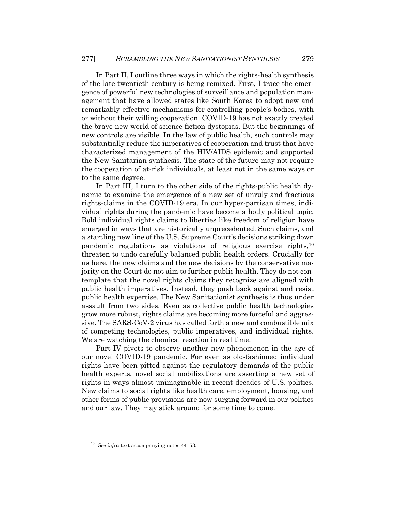In Part II, I outline three ways in which the rights-health synthesis of the late twentieth century is being remixed. First, I trace the emergence of powerful new technologies of surveillance and population management that have allowed states like South Korea to adopt new and remarkably effective mechanisms for controlling people's bodies, with or without their willing cooperation. COVID-19 has not exactly created the brave new world of science fiction dystopias. But the beginnings of new controls are visible. In the law of public health, such controls may substantially reduce the imperatives of cooperation and trust that have characterized management of the HIV/AIDS epidemic and supported the New Sanitarian synthesis. The state of the future may not require the cooperation of at-risk individuals, at least not in the same ways or to the same degree.

In Part III, I turn to the other side of the rights-public health dynamic to examine the emergence of a new set of unruly and fractious rights-claims in the COVID-19 era. In our hyper-partisan times, individual rights during the pandemic have become a hotly political topic. Bold individual rights claims to liberties like freedom of religion have emerged in ways that are historically unprecedented. Such claims, and a startling new line of the U.S. Supreme Court's decisions striking down pandemic regulations as violations of religious exercise rights,10 threaten to undo carefully balanced public health orders. Crucially for us here, the new claims and the new decisions by the conservative majority on the Court do not aim to further public health. They do not contemplate that the novel rights claims they recognize are aligned with public health imperatives. Instead, they push back against and resist public health expertise. The New Sanitationist synthesis is thus under assault from two sides. Even as collective public health technologies grow more robust, rights claims are becoming more forceful and aggressive. The SARS-CoV-2 virus has called forth a new and combustible mix of competing technologies, public imperatives, and individual rights. We are watching the chemical reaction in real time.

Part IV pivots to observe another new phenomenon in the age of our novel COVID-19 pandemic. For even as old-fashioned individual rights have been pitted against the regulatory demands of the public health experts, novel social mobilizations are asserting a new set of rights in ways almost unimaginable in recent decades of U.S. politics. New claims to social rights like health care, employment, housing, and other forms of public provisions are now surging forward in our politics and our law. They may stick around for some time to come.

<sup>10</sup> *See infra* text accompanying notes 44–53.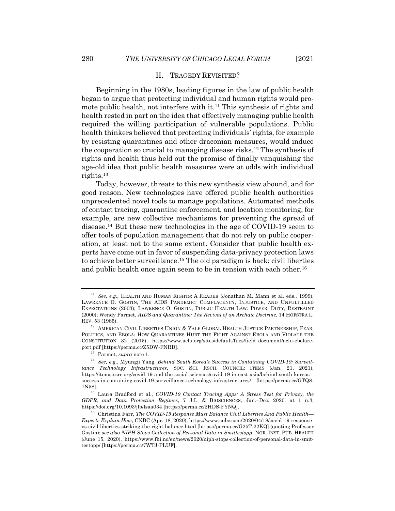#### II. TRAGEDY REVISITED?

Beginning in the 1980s, leading figures in the law of public health began to argue that protecting individual and human rights would promote public health, not interfere with it.<sup>11</sup> This synthesis of rights and health rested in part on the idea that effectively managing public health required the willing participation of vulnerable populations. Public health thinkers believed that protecting individuals' rights, for example by resisting quarantines and other draconian measures, would induce the cooperation so crucial to managing disease risks.12 The synthesis of rights and health thus held out the promise of finally vanquishing the age-old idea that public health measures were at odds with individual rights.13

Today, however, threats to this new synthesis view abound, and for good reason. New technologies have offered public health authorities unprecedented novel tools to manage populations. Automated methods of contact tracing, quarantine enforcement, and location monitoring, for example, are new collective mechanisms for preventing the spread of disease.14 But these new technologies in the age of COVID-19 seem to offer tools of population management that do not rely on public cooperation, at least not to the same extent. Consider that public health experts have come out in favor of suspending data-privacy protection laws to achieve better surveillance.15 The old paradigm is back; civil liberties and public health once again seem to be in tension with each other.<sup>16</sup>

<sup>11</sup> *See, e.g.*, HEALTH AND HUMAN RIGHTS: A READER (Jonathan M. Mann et al. eds., 1999), LAWRENCE O. GOSTIN, THE AIDS PANDEMIC: COMPLACENCY, INJUSTICE, AND UNFULFILLED EXPECTATIONS (2003); LAWRENCE O. GOSTIN, PUBLIC HEALTH LAW: POWER, DUTY, RESTRAINT (2000); Wendy Parmet, *AIDS and Quarantine: The Revival of an Archaic Doctrine*, 14 HOFSTRA L. REV. 53 (1985).

 $^{12}\,$  AMERICAN CIVIL LIBERTIES UNION & YALE GLOBAL HEALTH JUSTICE PARTNERSHIP, FEAR, POLITICS, AND EBOLA: HOW QUARANTINES HURT THE FIGHT AGAINST EBOLA AND VIOLATE THE CONSTITUTION 32 (2015), https://www.aclu.org/sites/default/files/field\_document/aclu-ebolareport.pdf [https://perma.cc/Z5DW-FNRD].

<sup>13</sup> Parmet, *supra* note 1.

<sup>14</sup> *See, e.g.*, Myungji Yang, *Behind South Korea's Success in Containing COVID-19: Surveillance Technology Infrastructures*, SOC. SCI. RSCH. COUNCIL: ITEMS (Jan. 21, 2021), https://items.ssrc.org/covid-19-and-the-social-sciences/covid-19-in-east-asia/behind-south-koreassuccess-in-containing-covid-19-surveillance-technology-infrastructures/ [https://perma.cc/GTQ8- 7N58].

<sup>15</sup> Laura Bradford et al., *COVID-19 Contact Tracing Apps: A Stress Test for Privacy, the GDPR, and Data Protection Regimes*, 7 J.L. & BIOSCIENCES, Jan.–Dec. 2020, at 1 n.3, https://doi.org/10.1093/jlb/lsaa034 [https://perma.cc/2HDS-FYNQ].

<sup>16</sup> Christina Farr, *The COVID-19 Response Must Balance Civil Liberties And Public Health— Experts Explain How*, CNBC (Apr. 18, 2020), https://www.cnbc.com/2020/04/18/covid-19-responsevs-civil-liberties-striking-the-right-balance.html [https://perma.cc/G25T-22KQ] (quoting Professor Gostin); *see also NIPH Stops Collection of Personal Data in Smittestopp*, NOR. INST. PUB. HEALTH (June 15, 2020), https://www.fhi.no/en/news/2020/niph-stops-collection-of-personal-data-in-smittestopp/ [https://perma.cc/7WTJ-PLUF].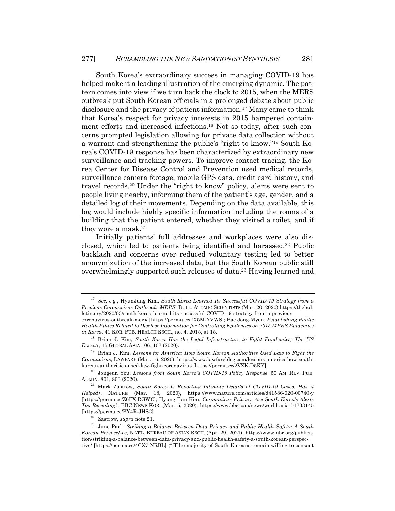South Korea's extraordinary success in managing COVID-19 has helped make it a leading illustration of the emerging dynamic. The pattern comes into view if we turn back the clock to 2015, when the MERS outbreak put South Korean officials in a prolonged debate about public disclosure and the privacy of patient information.17 Many came to think that Korea's respect for privacy interests in 2015 hampered containment efforts and increased infections.18 Not so today, after such concerns prompted legislation allowing for private data collection without a warrant and strengthening the public's "right to know."19 South Korea's COVID-19 response has been characterized by extraordinary new surveillance and tracking powers. To improve contact tracing, the Korea Center for Disease Control and Prevention used medical records, surveillance camera footage, mobile GPS data, credit card history, and travel records.20 Under the "right to know" policy, alerts were sent to people living nearby, informing them of the patient's age, gender, and a detailed log of their movements. Depending on the data available, this log would include highly specific information including the rooms of a building that the patient entered, whether they visited a toilet, and if they wore a mask.21

Initially patients' full addresses and workplaces were also disclosed, which led to patients being identified and harassed.22 Public backlash and concerns over reduced voluntary testing led to better anonymization of the increased data, but the South Korean public still overwhelmingly supported such releases of data.23 Having learned and

<sup>17</sup> *See, e.g.*, HyunJung Kim, *South Korea Learned Its Successful COVID-19 Strategy from a Previous Coronavirus Outbreak: MERS*, BULL. ATOMIC SCIENTISTS (Mar. 20, 2020) https://thebulletin.org/2020/03/south-korea-learned-its-successful-COVID-19-strategy-from-a-previouscoronavirus-outbreak-mers/ [https://perma.cc/7X5M-YVWS]; Bae Jong-Myon, *Establishing Public* 

*Health Ethics Related to Disclose Information for Controlling Epidemics on 2015 MERS Epidemics in Korea*, 41 KOR. PUB. HEALTH RSCH., no. 4, 2015, at 15.

<sup>18</sup> Brian J. Kim, *South Korea Has the Legal Infrastructure to Fight Pandemics; The US Doesn't*, 15 GLOBAL ASIA 106, 107 (2020).

<sup>19</sup> Brian J. Kim, *Lessons for America: How South Korean Authorities Used Law to Fight the Coronavirus*, LAWFARE (Mar. 16, 2020), https://www.lawfareblog.com/lessons-america-how-southkorean-authorities-used-law-fight-coronavirus [https://perma.cc/2VZK-D5KY].

<sup>20</sup> Jongeun You, *Lessons from South Korea's COVID-19 Policy Response*, 50 AM. REV. PUB. ADMIN. 801, 803 (2020).

<sup>21</sup> Mark Zastrow, *South Korea Is Reporting Intimate Details of COVID-19 Cases: Has it Helped?*, NATURE (Mar. 18, 2020), https://www.nature.com/articles/d41586-020-00740-y [https://perma.cc/Z6FX-RGWC]; Hyung Eun Kim, *Coronavirus Privacy: Are South Korea's Alerts Too Revealing?*, BBC NEWS KOR. (Mar. 5, 2020), https://www.bbc.com/news/world-asia-51733145 [https://perma.cc/BY4R-JHS2].

<sup>22</sup> Zastrow, *supra* note 21.

<sup>23</sup> June Park, *Striking a Balance Between Data Privacy and Public Health Safety: A South Korean Perspective*, NAT'L. BUREAU OF ASIAN RSCH. (Apr. 29, 2021), https://www.nbr.org/publication/striking-a-balance-between-data-privacy-and-public-health-safety-a-south-korean-perspective/ [https://perma.cc/4CX7-NRBL] ("[T]he majority of South Koreans remain willing to consent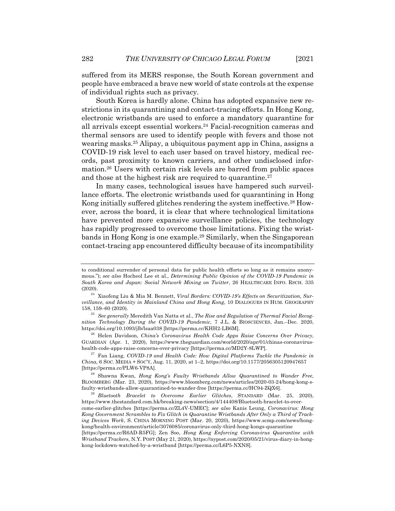suffered from its MERS response, the South Korean government and people have embraced a brave new world of state controls at the expense of individual rights such as privacy.

South Korea is hardly alone. China has adopted expansive new restrictions in its quarantining and contact-tracing efforts. In Hong Kong, electronic wristbands are used to enforce a mandatory quarantine for all arrivals except essential workers.24 Facial-recognition cameras and thermal sensors are used to identify people with fevers and those not wearing masks.25 Alipay, a ubiquitous payment app in China, assigns a COVID-19 risk level to each user based on travel history, medical records, past proximity to known carriers, and other undisclosed information.26 Users with certain risk levels are barred from public spaces and those at the highest risk are required to quarantine.<sup>27</sup>

In many cases, technological issues have hampered such surveillance efforts. The electronic wristbands used for quarantining in Hong Kong initially suffered glitches rendering the system ineffective.28 However, across the board, it is clear that where technological limitations have prevented more expansive surveillance policies, the technology has rapidly progressed to overcome those limitations. Fixing the wristbands in Hong Kong is one example.29 Similarly, when the Singaporean contact-tracing app encountered difficulty because of its incompatibility

<sup>26</sup> Helen Davidson, *China's Coronavirus Health Code Apps Raise Concerns Over Privacy*, GUARDIAN (Apr. 1, 2020), https://www.theguardian.com/world/2020/apr/01/chinas-coronavirushealth-code-apps-raise-concerns-over-privacy [https://perma.cc/MD2Y-8LWP].

<sup>27</sup> Fan Liang, *COVID-19 and Health Code: How Digital Platforms Tackle the Pandemic in China*, 6 SOC. MEDIA + SOC'Y, Aug. 11, 2020, at 1–2, https://doi.org/10.1177/2056305120947657 [https://perma.cc/PLW6-VP8A].

<sup>28</sup> Shawna Kwan, *Hong Kong's Faulty Wristbands Allow Quarantined to Wander Free*, BLOOMBERG (Mar. 23, 2020), https://www.bloomberg.com/news/articles/2020-03-24/hong-kong-sfaulty-wristbands-allow-quarantined-to-wander-free [https://perma.cc/HC94-ZQX6].

to conditional surrender of personal data for public health efforts so long as it remains anonymous."); *see also* Hocheol Lee et al., *Determining Public Opinion of the COVID-19 Pandemic in South Korea and Japan: Social Network Mining on Twitter*, 26 HEALTHCARE INFO. RSCH. 335 (2020).

<sup>24</sup> Xiaofeng Liu & Mia M. Bennett, *Viral Borders: COVID-19's Effects on Securitization, Surveillance, and Identity in Mainland China and Hong Kong*, 10 DIALOGUES IN HUM. GEOGRAPHY 158, 159–60 (2020).

<sup>25</sup> *See generally* Meredith Van Natta et al., *The Rise and Regulation of Thermal Facial Recognition Technology During the COVID-19 Pandemic*, 7 J.L. & BIOSCIENCES, Jan.–Dec. 2020, https://doi.org/10.1093/jlb/lsaa038 [https://perma.cc/KHH2-LB6M].

<sup>29</sup> *Bluetooth Bracelet to Overcome Earlier Glitches*, STANDARD (Mar. 25, 2020), https://www.thestandard.com.hk/breaking-news/section/4/144408/Bluetooth-bracelet-to-overcome-earlier-glitches [https://perma.cc/ZL4V-UMEC]; *see also* Kanis Leung, *Coronavirus: Hong Kong Government Scrambles to Fix Glitch in Quarantine Wristbands After Only a Third of Tracking Devices Work*, S. CHINA MORNING POST (Mar. 20, 2020), https://www.scmp.com/news/hongkong/health-environment/article/3076085/coronavirus-only-third-hong-kongs-quarantine [https://perma.cc/R6AD-R5FG]; Zen Soo, *Hong Kong Enforcing Coronavirus Quarantine with* 

*Wristband Trackers*, N.Y. POST (May 21, 2020), https://nypost.com/2020/05/21/virus-diary-in-hongkong-lockdown-watched-by-a-wristband [https://perma.cc/L6P5-NXNS].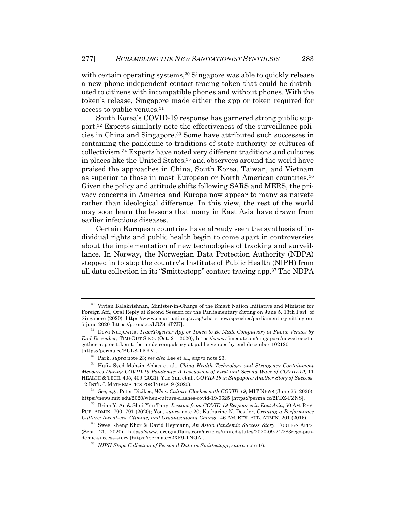with certain operating systems,<sup>30</sup> Singapore was able to quickly release a new phone-independent contact-tracing token that could be distributed to citizens with incompatible phones and without phones. With the token's release, Singapore made either the app or token required for access to public venues.31

South Korea's COVID-19 response has garnered strong public support.32 Experts similarly note the effectiveness of the surveillance policies in China and Singapore.33 Some have attributed such successes in containing the pandemic to traditions of state authority or cultures of collectivism.34 Experts have noted very different traditions and cultures in places like the United States,<sup>35</sup> and observers around the world have praised the approaches in China, South Korea, Taiwan, and Vietnam as superior to those in most European or North American countries.<sup>36</sup> Given the policy and attitude shifts following SARS and MERS, the privacy concerns in America and Europe now appear to many as naivete rather than ideological difference. In this view, the rest of the world may soon learn the lessons that many in East Asia have drawn from earlier infectious diseases.

Certain European countries have already seen the synthesis of individual rights and public health begin to come apart in controversies about the implementation of new technologies of tracking and surveillance. In Norway, the Norwegian Data Protection Authority (NDPA) stepped in to stop the country's Institute of Public Health (NIPH) from all data collection in its "Smittestopp" contact-tracing app.37 The NDPA

<sup>30</sup> Vivian Balakrishnan, Minister-in-Charge of the Smart Nation Initiative and Minister for Foreign Aff., Oral Reply at Second Session for the Parliamentary Sitting on June 5, 13th Parl. of Singapore (2020), https://www.smartnation.gov.sg/whats-new/speeches/parliamentary-sitting-on-5-june-2020 [https://perma.cc/LRZ4-6PZK].

<sup>31</sup> Dewi Nurjuwita, *TraceTogether App or Token to Be Made Compulsory at Public Venues by End December*, TIMEOUT SING. (Oct. 21, 2020), https://www.timeout.com/singapore/news/tracetogether-app-or-token-to-be-made-compulsory-at-public-venues-by-end-december-102120 [https://perma.cc/BUL8-TKKV].

<sup>32</sup> Park, *supra* note 23; *see also* Lee et al., *supra* note 23.

<sup>33</sup> Hafiz Syed Mohsin Abbas et al., *China Health Technology and Stringency Containment Measures During COVID-19 Pandemic: A Discussion of First and Second Wave of COVID-19*, 11 HEALTH & TECH. 405, 409 (2021); Yue Yan et al., *COVID-19 in Singapore: Another Story of Success*, 12 INT'L J. MATHEMATICS FOR INDUS. 9 (2020).

<sup>34</sup> *See, e.g.*, Peter Dizikes, *When Culture Clashes with COVID-19*, MIT NEWS (June 25, 2020), https://news.mit.edu/2020/when-culture-clashes-covid-19-0625 [https://perma.cc/2FDZ-FZNS].

<sup>35</sup> Brian Y. An & Shui-Yan Tang, *Lessons from COVID-19 Responses in East Asia*, 50 AM. REV. PUB. ADMIN. 790, 791 (2020); You, *supra* note 20; Katharine N. Destler, *Creating a Performance Culture: Incentives, Climate, and Organizational Change*, 46 AM. REV. PUB. ADMIN. 201 (2016).

<sup>36</sup> Swee Kheng Khor & David Heymann, *An Asian Pandemic Success Story*, FOREIGN AFFS. (Sept. 21, 2020), https://www.foreignaffairs.com/articles/united-states/2020-09-21/283rego-pandemic-success-story [https://perma.cc/2XF9-TNQA].

<sup>37</sup> *NIPH Stops Collection of Personal Data in Smittestopp*, *supra* note 16.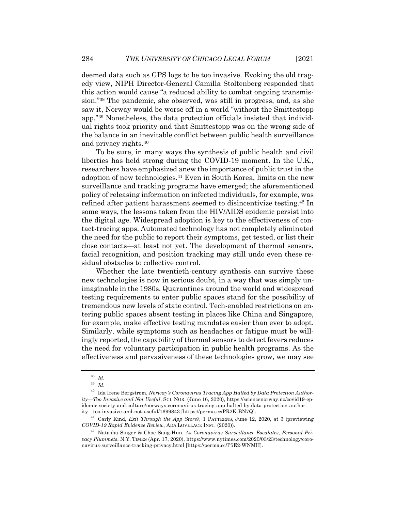deemed data such as GPS logs to be too invasive. Evoking the old tragedy view, NIPH Director-General Camilla Stoltenberg responded that this action would cause "a reduced ability to combat ongoing transmission."38 The pandemic, she observed, was still in progress, and, as she saw it, Norway would be worse off in a world "without the Smittestopp app."39 Nonetheless, the data protection officials insisted that individual rights took priority and that Smittestopp was on the wrong side of the balance in an inevitable conflict between public health surveillance and privacy rights.40

To be sure, in many ways the synthesis of public health and civil liberties has held strong during the COVID-19 moment. In the U.K., researchers have emphasized anew the importance of public trust in the adoption of new technologies.41 Even in South Korea, limits on the new surveillance and tracking programs have emerged; the aforementioned policy of releasing information on infected individuals, for example, was refined after patient harassment seemed to disincentivize testing.42 In some ways, the lessons taken from the HIV/AIDS epidemic persist into the digital age. Widespread adoption is key to the effectiveness of contact-tracing apps. Automated technology has not completely eliminated the need for the public to report their symptoms, get tested, or list their close contacts—at least not yet. The development of thermal sensors, facial recognition, and position tracking may still undo even these residual obstacles to collective control.

Whether the late twentieth-century synthesis can survive these new technologies is now in serious doubt, in a way that was simply unimaginable in the 1980s. Quarantines around the world and widespread testing requirements to enter public spaces stand for the possibility of tremendous new levels of state control. Tech-enabled restrictions on entering public spaces absent testing in places like China and Singapore, for example, make effective testing mandates easier than ever to adopt. Similarly, while symptoms such as headaches or fatigue must be willingly reported, the capability of thermal sensors to detect fevers reduces the need for voluntary participation in public health programs. As the effectiveness and pervasiveness of these technologies grow, we may see

<sup>38</sup> *Id*.

<sup>39</sup> *Id.*

<sup>40</sup> Ida Irene Bergstrøm, *Norway's Coronavirus Tracing App Halted by Data Protection Authority—Too Invasive and Not Useful*, SCI. NOR. (June 16, 2020), https://sciencenorway.no/covid19-epidemic-society-and-culture/norways-coronavirus-tracing-app-halted-by-data-protection-author-

ity—too-invasive-and-not-useful/1699843 [https://perma.cc/PR2K-BN7Q]. <sup>41</sup> Carly Kind, *Exit Through the App Store?*, 1 PATTERNS, June 12, 2020, at 3 (previewing

*COVID-19 Rapid Evidence Review*, ADA LOVELACE INST. (2020)).

<sup>42</sup> Natasha Singer & Choe Sang-Hun, *As Coronavirus Surveillance Escalates, Personal Privacy Plummets*, N.Y. TIMES (Apr. 17, 2020), https://www.nytimes.com/2020/03/23/technology/coronavirus-surveillance-tracking-privacy.html [https://perma.cc/P5E2-WNMH].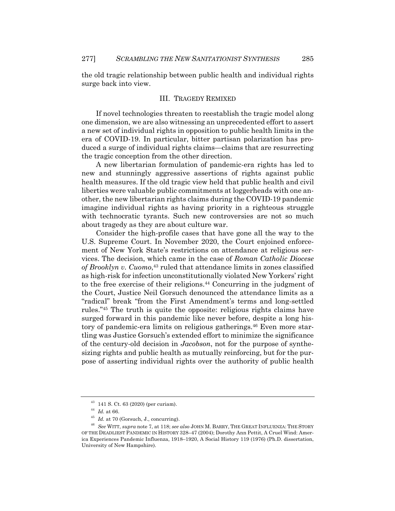the old tragic relationship between public health and individual rights surge back into view.

#### III. TRAGEDY REMIXED

If novel technologies threaten to reestablish the tragic model along one dimension, we are also witnessing an unprecedented effort to assert a new set of individual rights in opposition to public health limits in the era of COVID-19. In particular, bitter partisan polarization has produced a surge of individual rights claims—claims that are resurrecting the tragic conception from the other direction.

A new libertarian formulation of pandemic-era rights has led to new and stunningly aggressive assertions of rights against public health measures. If the old tragic view held that public health and civil liberties were valuable public commitments at loggerheads with one another, the new libertarian rights claims during the COVID-19 pandemic imagine individual rights as having priority in a righteous struggle with technocratic tyrants. Such new controversies are not so much about tragedy as they are about culture war.

Consider the high-profile cases that have gone all the way to the U.S. Supreme Court. In November 2020, the Court enjoined enforcement of New York State's restrictions on attendance at religious services. The decision, which came in the case of *Roman Catholic Diocese of Brooklyn v. Cuomo*, <sup>43</sup> ruled that attendance limits in zones classified as high-risk for infection unconstitutionally violated New Yorkers' right to the free exercise of their religions.44 Concurring in the judgment of the Court, Justice Neil Gorsuch denounced the attendance limits as a "radical" break "from the First Amendment's terms and long-settled rules."45 The truth is quite the opposite: religious rights claims have surged forward in this pandemic like never before, despite a long history of pandemic-era limits on religious gatherings.<sup>46</sup> Even more startling was Justice Gorsuch's extended effort to minimize the significance of the century-old decision in *Jacobson*, not for the purpose of synthesizing rights and public health as mutually reinforcing, but for the purpose of asserting individual rights over the authority of public health

<sup>43</sup> 141 S. Ct. 63 (2020) (per curiam).

<sup>44</sup> *Id.* at 66.

<sup>45</sup> *Id.* at 70 (Gorsuch, J., concurring).

<sup>46</sup> *See* WITT, *supra* note 7, at 118; *see also* JOHN M. BARRY, THE GREAT INFLUENZA: THE STORY OF THE DEADLIEST PANDEMIC IN HISTORY 328–47 (2004); Dorothy Ann Pettit, A Cruel Wind: America Experiences Pandemic Influenza, 1918–1920, A Social History 119 (1976) (Ph.D. dissertation, University of New Hampshire).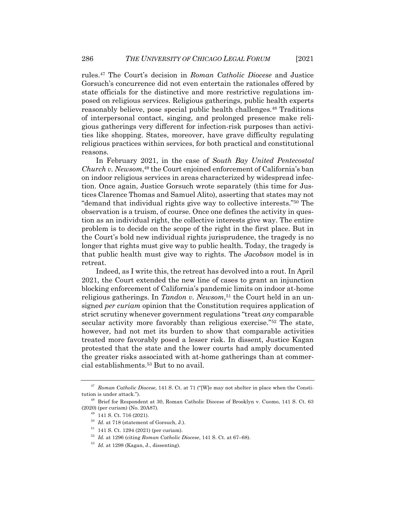rules.47 The Court's decision in *Roman Catholic Diocese* and Justice Gorsuch's concurrence did not even entertain the rationales offered by state officials for the distinctive and more restrictive regulations imposed on religious services. Religious gatherings, public health experts reasonably believe, pose special public health challenges.<sup>48</sup> Traditions of interpersonal contact, singing, and prolonged presence make religious gatherings very different for infection-risk purposes than activities like shopping. States, moreover, have grave difficulty regulating religious practices within services, for both practical and constitutional reasons.

In February 2021, in the case of *South Bay United Pentecostal Church v. Newsom*, <sup>49</sup> the Court enjoined enforcement of California's ban on indoor religious services in areas characterized by widespread infection. Once again, Justice Gorsuch wrote separately (this time for Justices Clarence Thomas and Samuel Alito), asserting that states may not "demand that individual rights give way to collective interests."50 The observation is a truism, of course. Once one defines the activity in question as an individual right, the collective interests give way. The entire problem is to decide on the scope of the right in the first place. But in the Court's bold new individual rights jurisprudence, the tragedy is no longer that rights must give way to public health. Today, the tragedy is that public health must give way to rights. The *Jacobson* model is in retreat.

Indeed, as I write this, the retreat has devolved into a rout. In April 2021, the Court extended the new line of cases to grant an injunction blocking enforcement of California's pandemic limits on indoor at-home religious gatherings. In *Tandon v. Newsom*, <sup>51</sup> the Court held in an unsigned *per curiam* opinion that the Constitution requires application of strict scrutiny whenever government regulations "treat *any* comparable secular activity more favorably than religious exercise."52 The state, however, had not met its burden to show that comparable activities treated more favorably posed a lesser risk. In dissent, Justice Kagan protested that the state and the lower courts had amply documented the greater risks associated with at-home gatherings than at commercial establishments.53 But to no avail.

<sup>47</sup> *Roman Catholic Diocese*, 141 S. Ct. at 71 ("[W]e may not shelter in place when the Constitution is under attack.").

<sup>48</sup> Brief for Respondent at 30, Roman Catholic Diocese of Brooklyn v. Cuomo, 141 S. Ct. 63 (2020) (per curiam) (No. 20A87).

<sup>49</sup> 141 S. Ct. 716 (2021).

<sup>50</sup> *Id.* at 718 (statement of Gorsuch, J.).

 $51$  141 S. Ct. 1294 (2021) (per curiam).

<sup>52</sup> *Id.* at 1296 (citing *Roman Catholic Diocese*, 141 S. Ct. at 67–68).

<sup>53</sup> *Id.* at 1298 (Kagan, J., dissenting).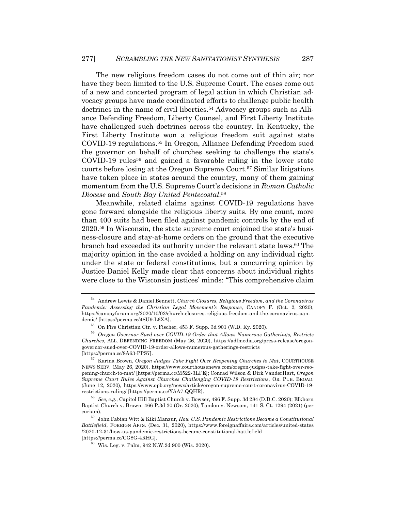The new religious freedom cases do not come out of thin air; nor have they been limited to the U.S. Supreme Court. The cases come out of a new and concerted program of legal action in which Christian advocacy groups have made coordinated efforts to challenge public health doctrines in the name of civil liberties.54 Advocacy groups such as Alliance Defending Freedom, Liberty Counsel, and First Liberty Institute have challenged such doctrines across the country. In Kentucky, the First Liberty Institute won a religious freedom suit against state COVID-19 regulations.55 In Oregon, Alliance Defending Freedom sued the governor on behalf of churches seeking to challenge the state's COVID-19 rules<sup>56</sup> and gained a favorable ruling in the lower state courts before losing at the Oregon Supreme Court.57 Similar litigations have taken place in states around the country, many of them gaining momentum from the U.S. Supreme Court's decisions in *Roman Catholic Diocese* and *South Bay United Pentecostal*. 58

Meanwhile, related claims against COVID-19 regulations have gone forward alongside the religious liberty suits. By one count, more than 400 suits had been filed against pandemic controls by the end of 2020.59 In Wisconsin, the state supreme court enjoined the state's business-closure and stay-at-home orders on the ground that the executive branch had exceeded its authority under the relevant state laws.60 The majority opinion in the case avoided a holding on any individual right under the state or federal constitutions, but a concurring opinion by Justice Daniel Kelly made clear that concerns about individual rights were close to the Wisconsin justices' minds: "This comprehensive claim

<sup>54</sup> Andrew Lewis & Daniel Bennett, *Church Closures, Religious Freedom, and the Coronavirus Pandemic: Assessing the Christian Legal Movement's Response*, CANOPY F. (Oct. 2, 2020), https://canopyforum.org/2020/10/02/church-closures-religious-freedom-and-the-coronavirus-pandemic/ [https://perma.cc/48U9-L6XA].

<sup>55</sup> On Fire Christian Ctr. v. Fischer, 453 F. Supp. 3d 901 (W.D. Ky. 2020).

<sup>56</sup> *Oregon Governor Sued over COVID-19 Order that Allows Numerous Gatherings, Restricts Churches*, ALL. DEFENDING FREEDOM (May 26, 2020), https://adfmedia.org/press-release/oregongovernor-sued-over-COVID-19-order-allows-numerous-gatherings-restricts [https://perma.cc/8A63-PPS7].

<sup>57</sup> Karina Brown, *Oregon Judges Take Fight Over Reopening Churches to Mat*, COURTHOUSE NEWS SERV. (May 26, 2020), https://www.courthousenews.com/oregon-judges-take-fight-over-reopening-church-to-mat/ [https://perma.cc/M522-3LFE]; Conrad Wilson & Dirk VanderHart, *Oregon Supreme Court Rules Against Churches Challenging COVID-19 Restrictions*, OR. PUB. BROAD. (June 12, 2020), https://www.opb.org/news/article/oregon-supreme-court-coronavirus-COVID-19 restrictions-ruling/ [https://perma.cc/YAA7-QQHR].

<sup>58</sup> *See, e.g.*, Capitol Hill Baptist Church v. Bowser, 496 F. Supp. 3d 284 (D.D.C. 2020); Elkhorn Baptist Church v. Brown, 466 P.3d 30 (Or. 2020); Tandon v. Newsom, 141 S. Ct. 1294 (2021) (per curiam).

<sup>59</sup> John Fabian Witt & Kiki Manzur, *How U.S. Pandemic Restrictions Became a Constitutional Battlefield*, FOREIGN AFFS. (Dec. 31, 2020), https://www.foreignaffairs.com/articles/united-states /2020-12-31/how-us-pandemic-restrictions-became-constitutional-battlefield [https://perma.cc/CG8G-4RHG].

 $60$  Wis. Leg. v. Palm, 942 N.W.2d 900 (Wis. 2020).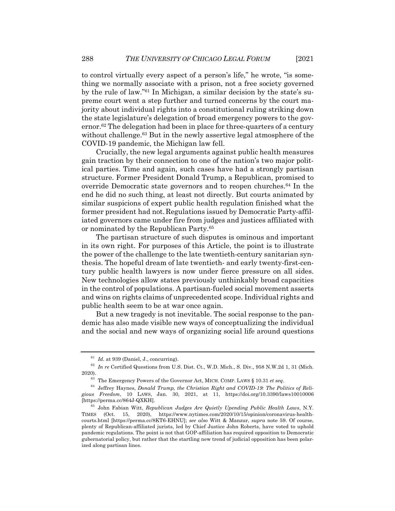to control virtually every aspect of a person's life," he wrote, "is something we normally associate with a prison, not a free society governed by the rule of law."61 In Michigan, a similar decision by the state's supreme court went a step further and turned concerns by the court majority about individual rights into a constitutional ruling striking down the state legislature's delegation of broad emergency powers to the governor.<sup>62</sup> The delegation had been in place for three-quarters of a century without challenge.<sup>63</sup> But in the newly assertive legal atmosphere of the COVID-19 pandemic, the Michigan law fell.

Crucially, the new legal arguments against public health measures gain traction by their connection to one of the nation's two major political parties. Time and again, such cases have had a strongly partisan structure. Former President Donald Trump, a Republican, promised to override Democratic state governors and to reopen churches.64 In the end he did no such thing, at least not directly. But courts animated by similar suspicions of expert public health regulation finished what the former president had not. Regulations issued by Democratic Party-affiliated governors came under fire from judges and justices affiliated with or nominated by the Republican Party.65

The partisan structure of such disputes is ominous and important in its own right. For purposes of this Article, the point is to illustrate the power of the challenge to the late twentieth-century sanitarian synthesis. The hopeful dream of late twentieth- and early twenty-first-century public health lawyers is now under fierce pressure on all sides. New technologies allow states previously unthinkably broad capacities in the control of populations. A partisan-fueled social movement asserts and wins on rights claims of unprecedented scope. Individual rights and public health seem to be at war once again.

But a new tragedy is not inevitable. The social response to the pandemic has also made visible new ways of conceptualizing the individual and the social and new ways of organizing social life around questions

 $61$  *Id.* at 939 (Daniel, J., concurring).

<sup>62</sup> *In re* Certified Questions from U.S. Dist. Ct., W.D. Mich., S. Div., 958 N.W.2d 1, 31 (Mich. 2020).

<sup>63</sup> The Emergency Powers of the Governor Act, MICH. COMP. LAWS § 10.31 *et seq*.

<sup>64</sup> Jeffrey Haynes, *Donald Trump, the Christian Right and COVID-19: The Politics of Religious Freedom*, 10 LAWS, Jan. 30, 2021, at 11, https://doi.org/10.3390/laws10010006 [https://perma.cc/864J-QXKH].

<sup>65</sup> John Fabian Witt, *Republican Judges Are Quietly Upending Public Health Laws*, N.Y. TIMES (Oct. 15, 2020), https://www.nytimes.com/2020/10/15/opinion/coronavirus-healthcourts.html [https://perma.cc/8KT6-EHNU]; *see also* Witt & Manzur, *supra* note 59. Of course, plenty of Republican-affiliated jurists, led by Chief Justice John Roberts, have voted to uphold pandemic regulations. The point is not that GOP-affiliation has required opposition to Democratic gubernatorial policy, but rather that the startling new trend of judicial opposition has been polarized along partisan lines.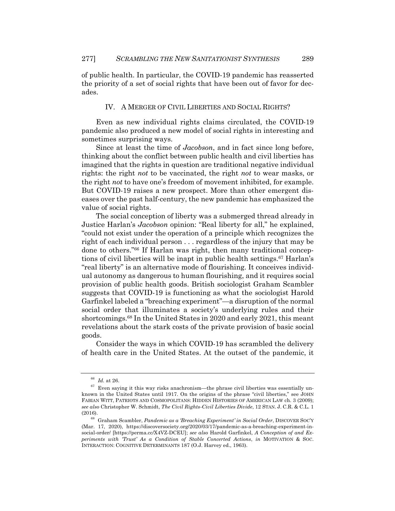of public health. In particular, the COVID-19 pandemic has reasserted the priority of a set of social rights that have been out of favor for decades.

### IV. A MERGER OF CIVIL LIBERTIES AND SOCIAL RIGHTS?

Even as new individual rights claims circulated, the COVID-19 pandemic also produced a new model of social rights in interesting and sometimes surprising ways.

Since at least the time of *Jacobson*, and in fact since long before, thinking about the conflict between public health and civil liberties has imagined that the rights in question are traditional negative individual rights: the right *not* to be vaccinated, the right *not* to wear masks, or the right *not* to have one's freedom of movement inhibited, for example. But COVID-19 raises a new prospect. More than other emergent diseases over the past half-century, the new pandemic has emphasized the value of social rights.

The social conception of liberty was a submerged thread already in Justice Harlan's *Jacobson* opinion: "Real liberty for all," he explained, "could not exist under the operation of a principle which recognizes the right of each individual person . . . regardless of the injury that may be done to others."66 If Harlan was right, then many traditional conceptions of civil liberties will be inapt in public health settings.67 Harlan's "real liberty" is an alternative mode of flourishing. It conceives individual autonomy as dangerous to human flourishing, and it requires social provision of public health goods. British sociologist Graham Scambler suggests that COVID-19 is functioning as what the sociologist Harold Garfinkel labeled a "breaching experiment"—a disruption of the normal social order that illuminates a society's underlying rules and their shortcomings.68 In the United States in 2020 and early 2021, this meant revelations about the stark costs of the private provision of basic social goods.

Consider the ways in which COVID-19 has scrambled the delivery of health care in the United States. At the outset of the pandemic, it

<sup>66</sup> *Id.* at 26.

 $^{67}$  Even saying it this way risks anachronism—the phrase civil liberties was essentially unknown in the United States until 1917. On the origins of the phrase "civil liberties," see JOHN FABIAN WITT, PATRIOTS AND COSMOPOLITANS: HIDDEN HISTORIES OF AMERICAN LAW ch. 3 (2009); *see also* Christopher W. Schmidt, *The Civil Rights-Civil Liberties Divide*, 12 STAN. J. C.R. & C.L. 1 (2016).

<sup>68</sup> Graham Scambler, *Pandemic as a 'Breaching Experiment' in Social Order*, DISCOVER SOC'Y (Mar. 17, 2020), https://discoversociety.org/2020/03/17/pandemic-as-a-breaching-experiment-insocial-order/ [https://perma.cc/X4VZ-DCEU]; *see also* Harold Garfinkel, *A Conception of and Experiments with 'Trust' As a Condition of Stable Concerted Actions*, *in* MOTIVATION & SOC. INTERACTION: COGNITIVE DETERMINANTS 187 (O.J. Harvey ed., 1963).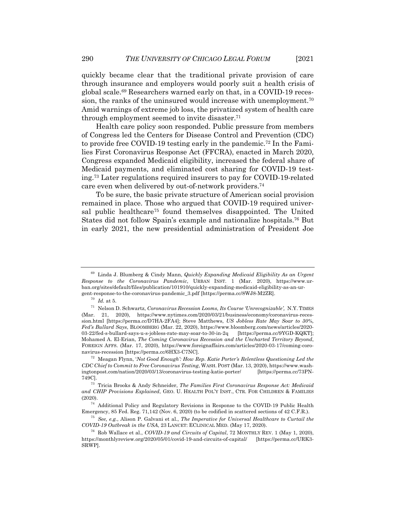quickly became clear that the traditional private provision of care through insurance and employers would poorly suit a health crisis of global scale.69 Researchers warned early on that, in a COVID-19 recession, the ranks of the uninsured would increase with unemployment.<sup>70</sup> Amid warnings of extreme job loss, the privatized system of health care through employment seemed to invite disaster.71

Health care policy soon responded. Public pressure from members of Congress led the Centers for Disease Control and Prevention (CDC) to provide free COVID-19 testing early in the pandemic.72 In the Families First Coronavirus Response Act (FFCRA), enacted in March 2020, Congress expanded Medicaid eligibility, increased the federal share of Medicaid payments, and eliminated cost sharing for COVID-19 testing.73 Later regulations required insurers to pay for COVID-19-related care even when delivered by out-of-network providers.74

To be sure, the basic private structure of American social provision remained in place. Those who argued that COVID-19 required universal public healthcare<sup>75</sup> found themselves disappointed. The United States did not follow Spain's example and nationalize hospitals.76 But in early 2021, the new presidential administration of President Joe

<sup>69</sup> Linda J. Blumberg & Cindy Mann, *Quickly Expanding Medicaid Eligibility As an Urgent Response to the Coronavirus Pandemic*, URBAN INST. 1 (Mar. 2020), https://www.urban.org/sites/default/files/publication/101910/quickly-expanding-medicaid-eligibility-as-an-urgent-response-to-the-coronavirus-pandemic\_3.pdf [https://perma.cc/8WJ8-M2ZR].

 $^{70}\,$   $Id.\;$  at 5.

<sup>71</sup> Nelson D. Schwartz, *Coronavirus Recession Looms, Its Course 'Unrecognizable',* N.Y. TIMES (Mar. 21, 2020), https://www.nytimes.com/2020/03/21/business/economy/coronavirus-recession.html [https://perma.cc/D7HA-2FA4]; Steve Matthews, *US Jobless Rate May Soar to 30%, Fed's Bullard Says*, BLOOMBERG (Mar. 22, 2020), https://www.bloomberg.com/news/articles/2020- 03-22/fed-s-bullard-says-u-s-jobless-rate-may-soar-to-30-in-2q [https://perma.cc/9YGD-KQKT]; Mohamed A. El-Erian, *The Coming Coronavirus Recession and the Uncharted Territory Beyond*, FOREIGN AFFS. (Mar. 17, 2020), https://www.foreignaffairs.com/articles/2020-03-17/coming-coronavirus-recession [https://perma.cc/6HX3-C7NC].

<sup>72</sup> Meagan Flynn, '*Not Good Enough': How Rep. Katie Porter's Relentless Questioning Led the CDC Chief to Commit to Free Coronavirus Testing*, WASH. POST (Mar. 13, 2020), https://www.washingtonpost.com/nation/2020/03/13/coronavirus-testing-katie-porter/ 749C].

<sup>73</sup> Tricia Brooks & Andy Schneider, *The Families First Coronavirus Response Act: Medicaid and CHIP Provisions Explained*, GEO. U. HEALTH POL'Y INST., CTR. FOR CHILDREN & FAMILIES (2020).

<sup>74</sup> Additional Policy and Regulatory Revisions in Response to the COVID-19 Public Health Emergency, 85 Fed. Reg. 71,142 (Nov. 6, 2020) (to be codified in scattered sections of 42 C.F.R.).

<sup>75</sup> *See, e.g.*, Alison P. Galvani et al., *The Imperative for Universal Healthcare to Curtail the COVID-19 Outbreak in the USA*, 23 LANCET: ECLINICAL MED. (May 17, 2020).

<sup>76</sup> Rob Wallace et al., *COVID-19 and Circuits of Capital*, 72 MONTHLY REV. 1 (May 1, 2020), https://monthlyreview.org/2020/05/01/covid-19-and-circuits-of-capital/ [https://perma.cc/URK3- SRWP].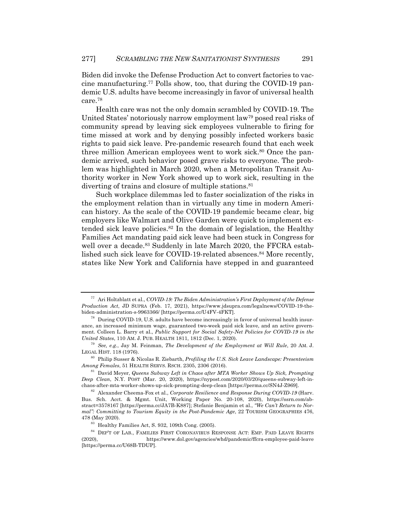Biden did invoke the Defense Production Act to convert factories to vaccine manufacturing.77 Polls show, too, that during the COVID-19 pandemic U.S. adults have become increasingly in favor of universal health care.78

Health care was not the only domain scrambled by COVID-19. The United States' notoriously narrow employment law79 posed real risks of community spread by leaving sick employees vulnerable to firing for time missed at work and by denying possibly infected workers basic rights to paid sick leave. Pre-pandemic research found that each week three million American employees went to work sick.<sup>80</sup> Once the pandemic arrived, such behavior posed grave risks to everyone. The problem was highlighted in March 2020, when a Metropolitan Transit Authority worker in New York showed up to work sick, resulting in the diverting of trains and closure of multiple stations.<sup>81</sup>

Such workplace dilemmas led to faster socialization of the risks in the employment relation than in virtually any time in modern American history. As the scale of the COVID-19 pandemic became clear, big employers like Walmart and Olive Garden were quick to implement extended sick leave policies.82 In the domain of legislation, the Healthy Families Act mandating paid sick leave had been stuck in Congress for well over a decade.<sup>83</sup> Suddenly in late March 2020, the FFCRA established such sick leave for COVID-19-related absences.<sup>84</sup> More recently, states like New York and California have stepped in and guaranteed

<sup>77</sup> Ari Holtzblatt et al., *COVID-19: The Biden Administration's First Deployment of the Defense Production Act*, JD SUPRA (Feb. 17, 2021), https://www.jdsupra.com/legalnews/COVID-19-thebiden-administration-s-9963366/ [https://perma.cc/U4FV-4FKT].

<sup>78</sup> During COVID-19, U.S. adults have become increasingly in favor of universal health insurance, an increased minimum wage, guaranteed two-week paid sick leave, and an active government. Colleen L. Barry et al., *Public Support for Social Safety-Net Policies for COVID-19 in the United States*, 110 AM. J. PUB. HEALTH 1811, 1812 (Dec. 1, 2020).

<sup>79</sup> *See, e.g.*, Jay M. Feinman, *The Development of the Employment at Will Rule*, 20 AM. J. LEGAL HIST. 118 (1976).

<sup>80</sup> Philip Susser & Nicolas R. Ziebarth, *Profiling the U.S. Sick Leave Landscape: Presenteeism Among Females*, 51 HEALTH SERVS. RSCH. 2305, 2306 (2016).

<sup>81</sup> David Meyer, *Queens Subway Left in Chaos after MTA Worker Shows Up Sick, Prompting Deep Clean*, N.Y. POST (Mar. 20, 2020), https://nypost.com/2020/03/20/queens-subway-left-inchaos-after-mta-worker-shows-up-sick-prompting-deep-clean [https://perma.cc/SN4J-Z969].

<sup>82</sup> Alexander Cheema-Fox et al., *Corporate Resilience and Response During COVID-19* (Harv. Bus. Sch. Acct. & Mgmt. Unit, Working Paper No. 20-108, 2020), https://ssrn.com/abstract=3578167 [https://perma.cc/JA7B-K887]; Stefanie Benjamin et al., *"We Can't Return to Normal": Committing to Tourism Equity in the Post-Pandemic Age*, 22 TOURISM GEOGRAPHIES 476, 478 (May 2020).

<sup>83</sup> Healthy Families Act, S. 932, 109th Cong. (2005).

 $^{84}$  DEP'T OF LAB., FAMILIES FIRST CORONAVIRUS RESPONSE ACT: EMP. PAID LEAVE RIGHTS (2020), https://www.dol.gov/agencies/whd/pandemic/ffcra-employee-paid-leave [https://perma.cc/U68B-TDUP].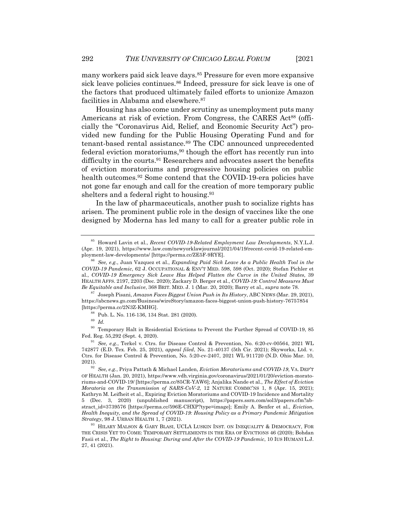many workers paid sick leave days.<sup>85</sup> Pressure for even more expansive sick leave policies continues.<sup>86</sup> Indeed, pressure for sick leave is one of the factors that produced ultimately failed efforts to unionize Amazon facilities in Alabama and elsewhere.<sup>87</sup>

Housing has also come under scrutiny as unemployment puts many Americans at risk of eviction. From Congress, the CARES Act<sup>88</sup> (officially the "Coronavirus Aid, Relief, and Economic Security Act") provided new funding for the Public Housing Operating Fund and for tenant-based rental assistance.89 The CDC announced unprecedented federal eviction moratoriums,<sup>90</sup> though the effort has recently run into difficulty in the courts.<sup>91</sup> Researchers and advocates assert the benefits of eviction moratoriums and progressive housing policies on public health outcomes.<sup>92</sup> Some contend that the COVID-19-era policies have not gone far enough and call for the creation of more temporary public shelters and a federal right to housing.<sup>93</sup>

In the law of pharmaceuticals, another push to socialize rights has arisen. The prominent public role in the design of vaccines like the one designed by Moderna has led many to call for a greater public role in

<sup>87</sup> Joseph Pisani, *Amazon Faces Biggest Union Push in Its History*, ABC NEWS (Mar. 29, 2021), https://abcnews.go.com/Business/wireStory/amazon-faces-biggest-union-push-history-76757854 [https://perma.cc/2N3Z-KMHG].

<sup>89</sup> *Id.*

 $^{90}$  Temporary Halt in Residential Evictions to Prevent the Further Spread of COVID-19, 85 Fed. Reg. 55,292 (Sept. 4, 2020).

<sup>85</sup> Howard Lavin et al., *Recent COVID-19-Related Employment Law Developments*, N.Y.L.J. (Apr. 19, 2021), https://www.law.com/newyorklawjournal/2021/04/19/recent-covid-19-related-employment-law-developments/ [https://perma.cc/ZE5F-9RYE].

<sup>86</sup> *See, e.g.*, Juan Vazquez et al., *Expanding Paid Sick Leave As a Public Health Tool in the COVID-19 Pandemic*, 62 J. OCCUPATIONAL & ENV'T MED. 598, 598 (Oct. 2020); Stefan Pichler et al., *COVID-19 Emergency Sick Leave Has Helped Flatten the Curve in the United States*, 39 HEALTH AFFS. 2197, 2203 (Dec. 2020); Zackary D. Berger et al., *COVID-19: Control Measures Must Be Equitable and Inclusive*, 368 BRIT. MED. J. 1 (Mar. 20, 2020); Barry et al., *supra* note 78.

<sup>88</sup> Pub. L. No. 116-136, 134 Stat. 281 (2020).

<sup>91</sup> *See, e.g.*, Terkel v. Ctrs. for Disease Control & Prevention, No. 6:20-cv-00564, 2021 WL 742877 (E.D. Tex. Feb. 25, 2021), *appeal filed*, No. 21-40137 (5th Cir. 2021); Skyworks, Ltd. v. Ctrs. for Disease Control & Prevention, No. 5:20-cv-2407, 2021 WL 911720 (N.D. Ohio Mar. 10, 2021).

<sup>92</sup> *See, e.g.*, Priya Pattath & Michael Landen, *Eviction Moratoriums and COVID-19*, VA. DEP'T OF HEALTH (Jan. 20, 2021), https://www.vdh.virginia.gov/coronavirus/2021/01/20/eviction-moratoriums-and-COVID-19/ [https://perma.cc/85CR-YAW6]; Anjalika Nande et al., *The Effect of Eviction Moratoria on the Transmission of SARS-CoV-2*, 12 NATURE COMMC'NS 1, 8 (Apr. 15, 2021); Kathryn M. Leifheit et al., Expiring Eviction Moratoriums and COVID-19 Incidence and Mortality 5 (Dec. 3, 2020) (unpublished manuscript), https://papers.ssrn.com/sol3/papers.cfm?abstract\_id=3739576 [https://perma.cc/596E-CHXP?type=image]; Emily A. Benfer et al., *Eviction, Health Inequity, and the Spread of COVID-19: Housing Policy as a Primary Pandemic Mitigation Strategy*, 98 J. URBAN HEALTH 1, 7 (2021).

<sup>&</sup>lt;sup>93</sup> HILARY MALSON & GARY BLASI, UCLA LUSKIN INST. ON INEQUALITY & DEMOCRACY, FOR THE CRISIS YET TO COME: TEMPORARY SETTLEMENTS IN THE ERA OF EVICTIONS 46 (2020); Bohdan Fasii et al., *The Right to Housing: During and After the COVID-19 Pandemic*, 10 IUS HUMANI L.J. 27, 41 (2021).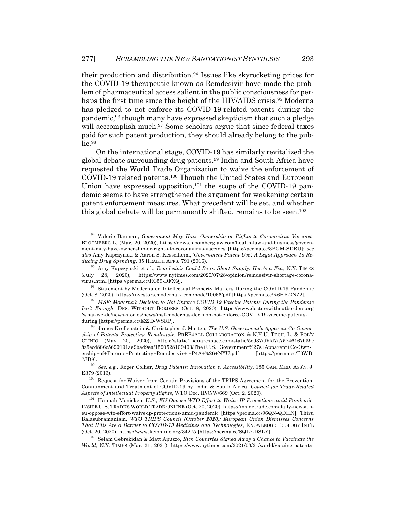their production and distribution.94 Issues like skyrocketing prices for the COVID-19 therapeutic known as Remdesivir have made the problem of pharmaceutical access salient in the public consciousness for perhaps the first time since the height of the HIV/AIDS crisis.<sup>95</sup> Moderna has pledged to not enforce its COVID-19-related patents during the pandemic,96 though many have expressed skepticism that such a pledge will acccomplish much.<sup>97</sup> Some scholars argue that since federal taxes paid for such patent production, they should already belong to the pub $lie.98$ 

On the international stage, COVID-19 has similarly revitalized the global debate surrounding drug patents.99 India and South Africa have requested the World Trade Organization to waive the enforcement of COVID-19 related patents.100 Though the United States and European Union have expressed opposition,<sup>101</sup> the scope of the COVID-19 pandemic seems to have strengthened the argument for weakening certain patent enforcement measures. What precedent will be set, and whether this global debate will be permanently shifted, remains to be seen.<sup>102</sup>

<sup>102</sup> Selam Gebrekidan & Matt Apuzzo, *Rich Countries Signed Away a Chance to Vaccinate the World*, N.Y. TIMES (Mar. 21, 2021), https://www.nytimes.com/2021/03/21/world/vaccine-patents-

<sup>94</sup> Valerie Bauman, *Government May Have Ownership or Rights to Coronavirus Vaccines*, BLOOMBERG L. (Mar. 20, 2020), https://news.bloomberglaw.com/health-law-and-business/government-may-have-ownership-or-rights-to-coronavirus-vaccines [https://perma.cc/3BGM-SDRU]; *see also* Amy Kapczynski & Aaron S. Kesselheim, '*Government Patent Use': A Legal Approach To Reducing Drug Spending*, 35 HEALTH AFFS. 791 (2016).

<sup>95</sup> Amy Kapczynski et al., *Remdesivir Could Be in Short Supply. Here's a Fix.*, N.Y. TIMES (July 28, 2020), https://www.nytimes.com/2020/07/28/opinion/remdesivir-shortage-coronavirus.html [https://perma.cc/RC59-DFXQ].

<sup>&</sup>lt;sup>96</sup> Statement by Moderna on Intellectual Property Matters During the COVID-19 Pandemic (Oct. 8, 2020), https://investors.modernatx.com/node/10066/pdf [https://perma.cc/R6HP-2NZ2].

<sup>97</sup> *MSF: Moderna's Decision to Not Enforce COVID-19 Vaccine Patents During the Pandemic Isn't Enough*, DRS. WITHOUT BORDERS (Oct. 8, 2020), https://www.doctorswithoutborders.org /what-we-do/news-stories/news/msf-modernas-decision-not-enforce-COVID-19-vaccine-patentsduring [https://perma.cc/EZ2D-WSRP].

<sup>98</sup> James Krellenstein & Christopher J. Morten, *The U.S. Government's Apparent Co-Ownership of Patents Protecting Remdesivir*, PREP4ALL COLLABORATION & N.Y.U. TECH. L. & POL'Y CLINIC (May 20, 2020), https://static1.squarespace.com/static/5e937afbfd7a75746167b39c /t/5ecd886c5699191ae9bad9ea/1590528109403/The+U.S.+Government%27s+Apparent+Co-Ownership+of+Patents+Protecting+Remdesivir+-+P4A+%26+NYU.pdf [https://perma.cc/F3WB-7JD8].

<sup>99</sup> *See, e.g.*, Roger Collier, *Drug Patents: Innovation v. Accessibility*, 185 CAN. MED. ASS'N. J. E379 (2013).

<sup>&</sup>lt;sup>100</sup> Request for Waiver from Certain Provisions of the TRIPS Agreement for the Prevention, Containment and Treatment of COVID-19 by India & South Africa, *Council for Trade-Related Aspects of Intellectual Property Rights*, WTO Doc. IP/C/W/669 (Oct. 2, 2020).

<sup>101</sup> Hannah Monicken, *U.S., EU Oppose WTO Effort to Waive IP Protections amid Pandemic*, INSIDE U.S. TRADE'S WORLD TRADE ONLINE (Oct. 20, 2020), https://insidetrade.com/daily-news/useu-oppose-wto-effort-waive-ip-protections-amid-pandemic [https://perma.cc/96QN-QDHN]; Thiru Balasubramaniam, *WTO TRIPS Council (October 2020): European Union Dismisses Concerns That IPRs Are a Barrier to COVID-19 Medicines and Technologies*, KNOWLEDGE ECOLOGY INT'L (Oct. 20, 2020), https://www.keionline.org/34275 [https://perma.cc/SQL7-DSLY].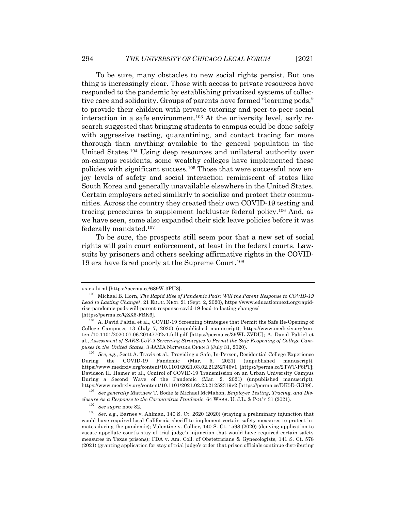To be sure, many obstacles to new social rights persist. But one thing is increasingly clear. Those with access to private resources have responded to the pandemic by establishing privatized systems of collective care and solidarity. Groups of parents have formed "learning pods," to provide their children with private tutoring and peer-to-peer social interaction in a safe environment.103 At the university level, early research suggested that bringing students to campus could be done safely with aggressive testing, quarantining, and contact tracing far more thorough than anything available to the general population in the United States.104 Using deep resources and unilateral authority over on-campus residents, some wealthy colleges have implemented these policies with significant success.105 Those that were successful now enjoy levels of safety and social interaction reminiscent of states like South Korea and generally unavailable elsewhere in the United States. Certain employers acted similarly to socialize and protect their communities. Across the country they created their own COVID-19 testing and tracing procedures to supplement lackluster federal policy.106 And, as we have seen, some also expanded their sick leave policies before it was federally mandated.107

To be sure, the prospects still seem poor that a new set of social rights will gain court enforcement, at least in the federal courts. Lawsuits by prisoners and others seeking affirmative rights in the COVID-19 era have fared poorly at the Supreme Court.108

us-eu.html [https://perma.cc/689W-3PU8].

<sup>103</sup> Michael B. Horn, *The Rapid Rise of Pandemic Pods: Will the Parent Response to COVID-19 Lead to Lasting Change?*, 21 EDUC. NEXT 21 (Sept. 2, 2020), https://www.educationnext.org/rapidrise-pandemic-pods-will-parent-response-covid-19-lead-to-lasting-changes/ [https://perma.cc/QZX6-FBK6].

<sup>&</sup>lt;sup>104</sup> A. David Paltiel et al., COVID-19 Screening Strategies that Permit the Safe Re-Opening of College Campuses 13 (July 7, 2020) (unpublished manuscript), https://www.medrxiv.org/content/10.1101/2020.07.06.20147702v1.full.pdf [https://perma.cc/39WL-ZVDU]; A. David Paltiel et al., *Assessment of SARS-CoV-2 Screening Strategies to Permit the Safe Reopening of College Campuses in the United States*, 3 JAMA NETWORK OPEN 3 (July 31, 2020).

<sup>105</sup> *See, e.g.*, Scott A. Travis et al., Providing a Safe, In-Person, Residential College Experience During the COVID-19 Pandemic (Mar. 5, 2021) (unpublished manuscript), https://www.medrxiv.org/content/10.1101/2021.03.02.21252746v1 [https://perma.cc/2TWT-P6PT]; Davidson H. Hamer et al., Control of COVID-19 Transmission on an Urban University Campus During a Second Wave of the Pandemic (Mar. 2, 2021) (unpublished manuscript), https://www.medrxiv.org/content/10.1101/2021.02.23.21252319v2 [https://perma.cc/DK5D-GG39].

<sup>106</sup> *See generally* Matthew T. Bodie & Michael McMahon, *Employee Testing, Tracing, and Disclosure As a Response to the Coronavirus Pandemic*, 64 WASH. U. J.L. & POL'Y 31 (2021).

 $\frac{107}{108}$  *See supra* note 82.

<sup>108</sup> *See, e.g.*, Barnes v. Ahlman, 140 S. Ct. 2620 (2020) (staying a preliminary injunction that would have required local California sheriff to implement certain safety measures to protect inmates during the pandemic); Valentine v. Collier, 140 S. Ct. 1598 (2020) (denying application to vacate appellate court's stay of trial judge's injunction that would have required certain safety measures in Texas prisons); FDA v. Am. Coll. of Obstetricians & Gynecologists, 141 S. Ct. 578 (2021) (granting application for stay of trial judge's order that prison officials continue distributing